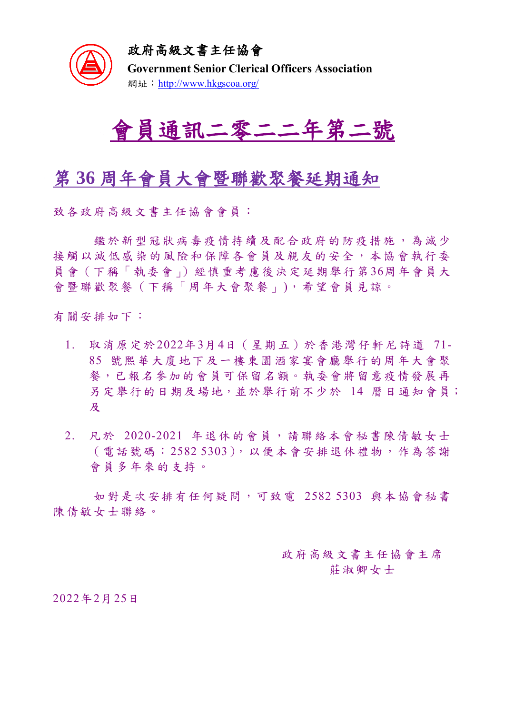

政府高級文書主任協會

**Government Senior Clerical Officers Association** 網址: <http://www.hkgscoa.org/>



## 第 **36** 周年會員大會暨聯歡聚餐延期通知

致各政府高級文書主任協會會員:

鑑於新型冠狀病毒疫情持續 及配合政府的防疫措施 ,為減少 接觸以減低感染的風險和保障各會員及親友的安全,本協會執行委 員會(下稱「執委會」)經慎重考慮後決定延期舉行第36周年會員大 會暨聯歡聚餐(下稱「周年大會聚餐」),希望會員見諒。

有關安排如下:

- 1. 取消原定於2022年3月4日(星期五)於香港灣仔軒尼詩道 71- 85 號熙華大廈地下及一樓東園酒家宴會廳舉行的周年大會聚 餐,已報名參加的會員可保留名額。執委會將留意疫情發展再 另定舉行的日期及場地,並於舉行前不少於 14 曆日通知會員; 及
- 2. 凡於 2020-2021 年退休的會員,請聯絡本會秘書陳倩敏女士 (電話號碼:2582 5303),以便本會安排退休禮物,作為答謝 會員多年來的支持。

如對是次安排有任何疑問,可致電 2582 5303 與本協會秘書 陳倩敏女士聯絡。

> 政府高級文書主任協會主席 莊淑卿女士

2022年2月25日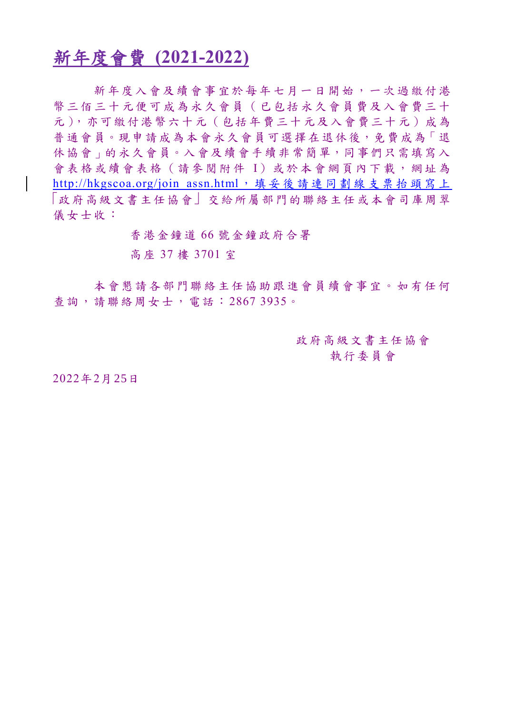## 新年度會費 **(2021-2022)**

新年度入會及續會事宜於每年七月一日開始,一次過 繳付港 幣三佰三十元便可成為永久會員 (已包括永久會員費及入會費三十 元),亦可繳付港幣六十元(包括年費三十元及入會費三十元)成為 普通會員。現申請成為本會永久會員可選擇在退休後,免費成為「退 休協會」的永久會員。入會及續會手續非常簡單,同事們只需填寫入 會表格或續會表格 (請參閱附件 I)或於本會網頁內下載,網址為 http://hkgscoa.org/join\_assn.html[, 填 妥 後 請 連 同 劃 線 支 票 抬 頭 寫 上](http://hkgscoa.org/join_assn.html，填妥後請連同劃線支票抬頭寫上) 「政府高級文書主任協會」交給所屬部門的聯絡主任或本會司庫周翠 儀女士收:

香港金鐘道 66 號金鐘政府合署

高座 37 樓 3701 室

本會懇請各部門聯絡主任協助跟進會員續會事宜。如有任何 查詢,請聯絡周女士,電話:2867 3935。

> 政府高級文書主任協會 執行委員會

2022年2月25日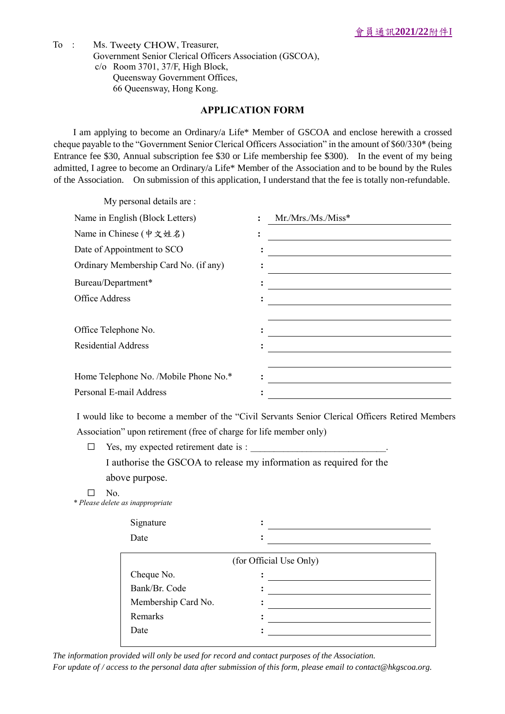To : Ms. Tweety CHOW, Treasurer, Government Senior Clerical Officers Association (GSCOA), c/o Room 3701, 37/F, High Block, Queensway Government Offices, 66 Queensway, Hong Kong.

## **APPLICATION FORM**

I am applying to become an Ordinary/a Life\* Member of GSCOA and enclose herewith a crossed cheque payable to the "Government Senior Clerical Officers Association" in the amount of \$60/330\* (being Entrance fee \$30, Annual subscription fee \$30 or Life membership fee \$300). In the event of my being admitted, I agree to become an Ordinary/a Life\* Member of the Association and to be bound by the Rules of the Association. On submission of this application, I understand that the fee is totally non-refundable.

| My personal details are :             |                |                   |
|---------------------------------------|----------------|-------------------|
| Name in English (Block Letters)       |                | $Mr.Mrs.Ms.Miss*$ |
| Name in Chinese (中文姓名)                | $\ddot{\cdot}$ |                   |
| Date of Appointment to SCO            |                |                   |
| Ordinary Membership Card No. (if any) |                |                   |
| Bureau/Department*                    |                |                   |
| Office Address                        |                |                   |
|                                       |                |                   |
| Office Telephone No.                  |                |                   |
| <b>Residential Address</b>            |                |                   |
|                                       |                |                   |
| Home Telephone No. /Mobile Phone No.* |                |                   |
| Personal E-mail Address               |                |                   |

I would like to become a member of the "Civil Servants Senior Clerical Officers Retired Members Association" upon retirement (free of charge for life member only)

- $\Box$  Yes, my expected retirement date is : I authorise the GSCOA to release my information as required for the above purpose.
- ☐ No.

*\* Please delete as inappropriate*

| Signature<br>Date       |  |  |  |  |
|-------------------------|--|--|--|--|
| (for Official Use Only) |  |  |  |  |
| Cheque No.              |  |  |  |  |
| Bank/Br. Code           |  |  |  |  |
| Membership Card No.     |  |  |  |  |
| Remarks                 |  |  |  |  |
| Date                    |  |  |  |  |

*The information provided will only be used for record and contact purposes of the Association.* 

*For update of / access to the personal data after submission of this form, please email to contact@hkgscoa.org.*